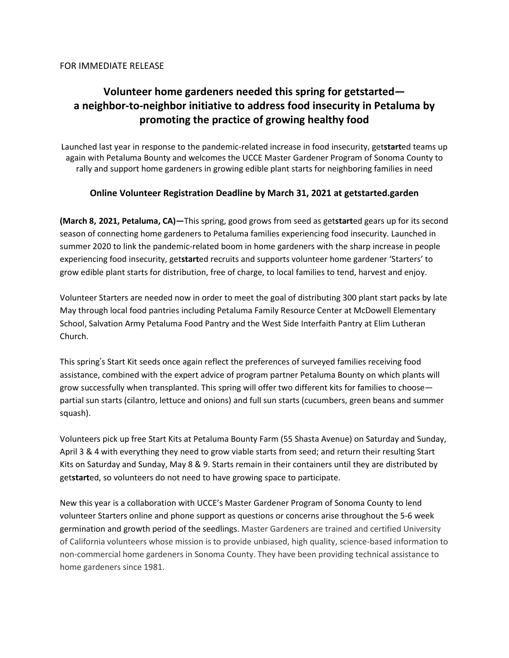# **Volunteer home gardeners needed this spring for getstarted a neighbor-to-neighbor initiative to address food insecurity in Petaluma by promoting the practice of growing healthy food**

Launched last year in response to the pandemic-related increase in food insecurity, get**start**ed teams up again with Petaluma Bounty and welcomes the UCCE Master Gardener Program of Sonoma County to rally and support home gardeners in growing edible plant starts for neighboring families in need

#### **Online Volunteer Registration Deadline by March 31, 2021 at getstarted.garden**

**(March 8, 2021, Petaluma, CA)—**This spring, good grows from seed as get**start**ed gears up for its second season of connecting home gardeners to Petaluma families experiencing food insecurity. Launched in summer 2020 to link the pandemic-related boom in home gardeners with the sharp increase in people experiencing food insecurity, get**start**ed recruits and supports volunteer home gardener 'Starters' to grow edible plant starts for distribution, free of charge, to local families to tend, harvest and enjoy.

Volunteer Starters are needed now in order to meet the goal of distributing 300 plant start packs by late May through local food pantries including Petaluma Family Resource Center at McDowell Elementary School, Salvation Army Petaluma Food Pantry and the West Side Interfaith Pantry at Elim Lutheran Church.

This spring's Start Kit seeds once again reflect the preferences of surveyed families receiving food assistance, combined with the expert advice of program partner Petaluma Bounty on which plants will grow successfully when transplanted. This spring will offer two different kits for families to choose partial sun starts (cilantro, lettuce and onions) and full sun starts (cucumbers, green beans and summer squash).

Volunteers pick up free Start Kits at Petaluma Bounty Farm (55 Shasta Avenue) on Saturday and Sunday, April 3 & 4 with everything they need to grow viable starts from seed; and return their resulting Start Kits on Saturday and Sunday, May 8 & 9. Starts remain in their containers until they are distributed by get**start**ed, so volunteers do not need to have growing space to participate.

New this year is a collaboration with UCCE's Master Gardener Program of Sonoma County to lend volunteer Starters online and phone support as questions or concerns arise throughout the 5-6 week germination and growth period of the seedlings. Master Gardeners are trained and certified University of California volunteers whose mission is to provide unbiased, high quality, science-based information to non-commercial home gardeners in Sonoma County. They have been providing technical assistance to home gardeners since 1981.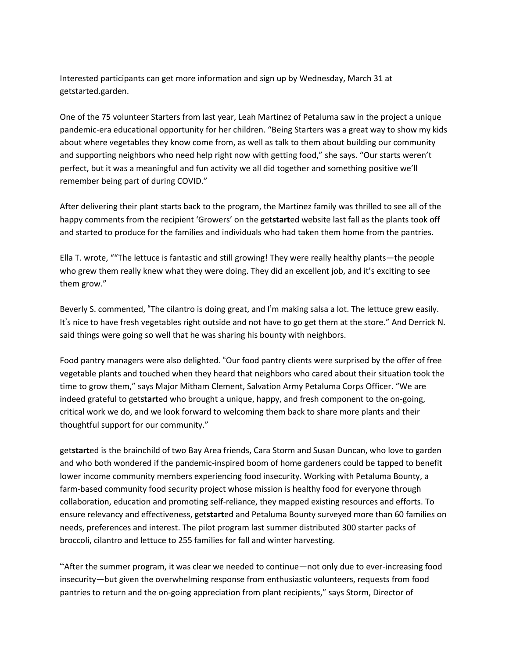Interested participants can get more information and sign up by Wednesday, March 31 at getstarted.garden.

One of the 75 volunteer Starters from last year, Leah Martinez of Petaluma saw in the project a unique pandemic-era educational opportunity for her children. "Being Starters was a great way to show my kids about where vegetables they know come from, as well as talk to them about building our community and supporting neighbors who need help right now with getting food," she says. "Our starts weren't perfect, but it was a meaningful and fun activity we all did together and something positive we'll remember being part of during COVID."

After delivering their plant starts back to the program, the Martinez family was thrilled to see all of the happy comments from the recipient 'Growers' on the get**start**ed website last fall as the plants took off and started to produce for the families and individuals who had taken them home from the pantries.

Ella T. wrote, ""The lettuce is fantastic and still growing! They were really healthy plants—the people who grew them really knew what they were doing. They did an excellent job, and it's exciting to see them grow."

Beverly S. commented, "The cilantro is doing great, and I'm making salsa a lot. The lettuce grew easily. It's nice to have fresh vegetables right outside and not have to go get them at the store." And Derrick N. said things were going so well that he was sharing his bounty with neighbors.

Food pantry managers were also delighted. "Our food pantry clients were surprised by the offer of free vegetable plants and touched when they heard that neighbors who cared about their situation took the time to grow them," says Major Mitham Clement, Salvation Army Petaluma Corps Officer. "We are indeed grateful to get**start**ed who brought a unique, happy, and fresh component to the on-going, critical work we do, and we look forward to welcoming them back to share more plants and their thoughtful support for our community."

get**start**ed is the brainchild of two Bay Area friends, Cara Storm and Susan Duncan, who love to garden and who both wondered if the pandemic-inspired boom of home gardeners could be tapped to benefit lower income community members experiencing food insecurity. Working with Petaluma Bounty, a farm-based community food security project whose mission is healthy food for everyone through collaboration, education and promoting self-reliance, they mapped existing resources and efforts. To ensure relevancy and effectiveness, get**start**ed and Petaluma Bounty surveyed more than 60 families on needs, preferences and interest. The pilot program last summer distributed 300 starter packs of broccoli, cilantro and lettuce to 255 families for fall and winter harvesting.

"After the summer program, it was clear we needed to continue—not only due to ever-increasing food insecurity—but given the overwhelming response from enthusiastic volunteers, requests from food pantries to return and the on-going appreciation from plant recipients," says Storm, Director of